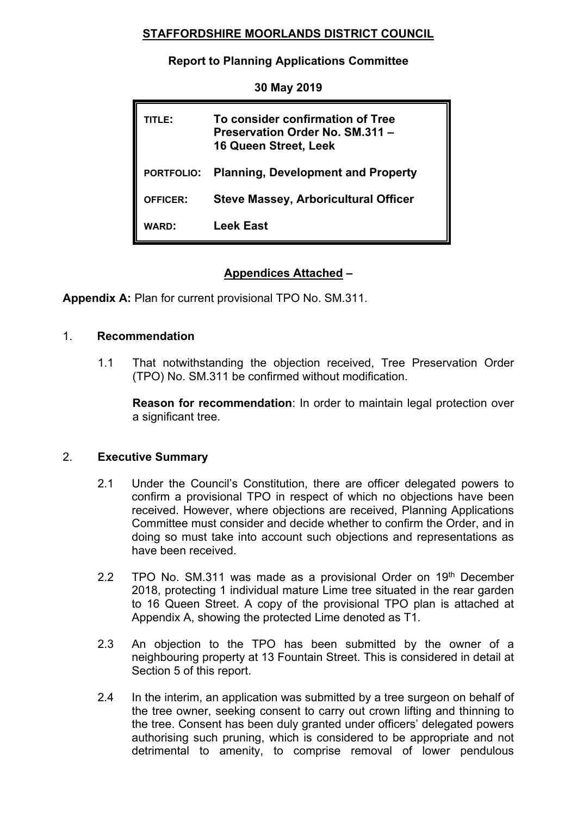# **STAFFORDSHIRE MOORLANDS DISTRICT COUNCIL**

## **Report to Planning Applications Committee**

| TITLE:            | To consider confirmation of Tree<br>Preservation Order No. SM.311 -<br><b>16 Queen Street, Leek</b> |
|-------------------|-----------------------------------------------------------------------------------------------------|
| <b>PORTFOLIO:</b> | <b>Planning, Development and Property</b>                                                           |
| <b>OFFICER:</b>   | <b>Steve Massey, Arboricultural Officer</b>                                                         |
| <b>WARD:</b>      | <b>Leek East</b>                                                                                    |

# **Appendices Attached –**

**Appendix A:** Plan for current provisional TPO No. SM.311.

## 1. **Recommendation**

1.1 That notwithstanding the objection received, Tree Preservation Order (TPO) No. SM.311 be confirmed without modification.

**Reason for recommendation**: In order to maintain legal protection over a significant tree.

## 2. **Executive Summary**

- 2.1 Under the Council's Constitution, there are officer delegated powers to confirm a provisional TPO in respect of which no objections have been received. However, where objections are received, Planning Applications Committee must consider and decide whether to confirm the Order, and in doing so must take into account such objections and representations as have been received.
- 2.2 TPO No. SM.311 was made as a provisional Order on  $19<sup>th</sup>$  December 2018, protecting 1 individual mature Lime tree situated in the rear garden to 16 Queen Street. A copy of the provisional TPO plan is attached at Appendix A, showing the protected Lime denoted as T1.
- 2.3 An objection to the TPO has been submitted by the owner of a neighbouring property at 13 Fountain Street. This is considered in detail at Section 5 of this report.
- 2.4 In the interim, an application was submitted by a tree surgeon on behalf of the tree owner, seeking consent to carry out crown lifting and thinning to the tree. Consent has been duly granted under officers' delegated powers authorising such pruning, which is considered to be appropriate and not detrimental to amenity, to comprise removal of lower pendulous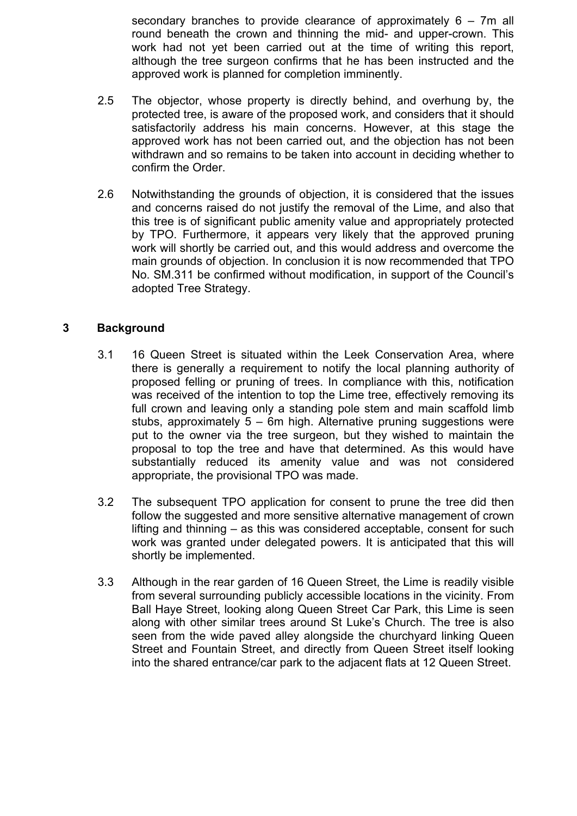secondary branches to provide clearance of approximately 6 – 7m all round beneath the crown and thinning the mid- and upper-crown. This work had not yet been carried out at the time of writing this report, although the tree surgeon confirms that he has been instructed and the approved work is planned for completion imminently.

- 2.5 The objector, whose property is directly behind, and overhung by, the protected tree, is aware of the proposed work, and considers that it should satisfactorily address his main concerns. However, at this stage the approved work has not been carried out, and the objection has not been withdrawn and so remains to be taken into account in deciding whether to confirm the Order.
- 2.6 Notwithstanding the grounds of objection, it is considered that the issues and concerns raised do not justify the removal of the Lime, and also that this tree is of significant public amenity value and appropriately protected by TPO. Furthermore, it appears very likely that the approved pruning work will shortly be carried out, and this would address and overcome the main grounds of objection. In conclusion it is now recommended that TPO No. SM.311 be confirmed without modification, in support of the Council's adopted Tree Strategy.

## **3 Background**

- 3.1 16 Queen Street is situated within the Leek Conservation Area, where there is generally a requirement to notify the local planning authority of proposed felling or pruning of trees. In compliance with this, notification was received of the intention to top the Lime tree, effectively removing its full crown and leaving only a standing pole stem and main scaffold limb stubs, approximately 5 – 6m high. Alternative pruning suggestions were put to the owner via the tree surgeon, but they wished to maintain the proposal to top the tree and have that determined. As this would have substantially reduced its amenity value and was not considered appropriate, the provisional TPO was made.
- 3.2 The subsequent TPO application for consent to prune the tree did then follow the suggested and more sensitive alternative management of crown lifting and thinning – as this was considered acceptable, consent for such work was granted under delegated powers. It is anticipated that this will shortly be implemented.
- 3.3 Although in the rear garden of 16 Queen Street, the Lime is readily visible from several surrounding publicly accessible locations in the vicinity. From Ball Haye Street, looking along Queen Street Car Park, this Lime is seen along with other similar trees around St Luke's Church. The tree is also seen from the wide paved alley alongside the churchyard linking Queen Street and Fountain Street, and directly from Queen Street itself looking into the shared entrance/car park to the adjacent flats at 12 Queen Street.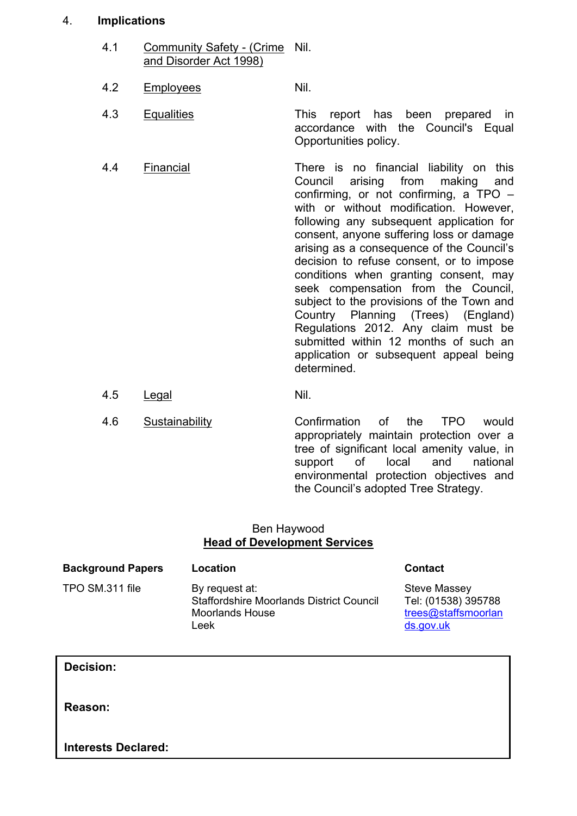#### 4. **Implications**

- 4.1 Community Safety (Crime Nil. and Disorder Act 1998)
- 4.2 Employees Nil.
- 4.3 Equalities This report has been prepared in accordance with the Council's Equal Opportunities policy.
- 4.4 Financial There is no financial liability on this Council arising from making and confirming, or not confirming, a TPO – with or without modification. However, following any subsequent application for consent, anyone suffering loss or damage arising as a consequence of the Council's decision to refuse consent, or to impose conditions when granting consent, may seek compensation from the Council, subject to the provisions of the Town and Country Planning (Trees) (England) Regulations 2012. Any claim must be submitted within 12 months of such an application or subsequent appeal being determined.
- 4.5 Legal Nil.
- 4.6 Sustainability Confirmation of the TPO would appropriately maintain protection over a tree of significant local amenity value, in support of local and national environmental protection objectives and the Council's adopted Tree Strategy.

#### Ben Haywood **Head of Development Services**

| <b>Background Papers</b> | Location                                                                                            | <b>Contact</b>                                                                 |
|--------------------------|-----------------------------------------------------------------------------------------------------|--------------------------------------------------------------------------------|
| TPO SM.311 file          | By request at:<br><b>Staffordshire Moorlands District Council</b><br><b>Moorlands House</b><br>Leek | <b>Steve Massey</b><br>Tel: (01538) 395788<br>trees@staffsmoorlan<br>ds.gov.uk |

**Decision:**

**Reason:**

**Interests Declared:**